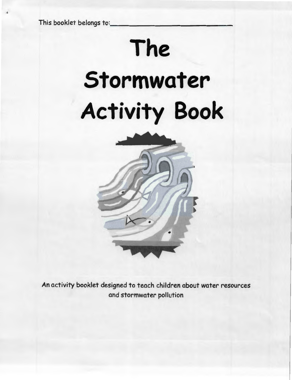This booklet belongs to:

# **The Stormwater Activity Book**



An activity booklet designed to teach children about water resources and stormwater pollution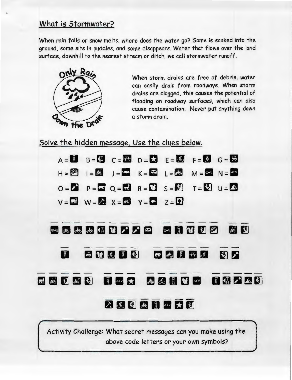#### What is Stormwater?

When rain falls or snow melts, where does the water go? Some is soaked into the ground, some sits in puddles, and some disappears. Water that flows over the land surface, downhill to the nearest stream or ditch; we call stormwater runoff.



,

When storm drains are free of debris, water can easily drain from roadways. When storm drains are clogged, this causes the potential of flooding on roadway surfaces, which can also cause contamination. Never put anything down a storm drain.

Solve the hidden message. Use the clues below.

|      | 图六                                                                                                                                                                                                                                                                                                                                                                                                                                                                                                                                                                                                                                                                                                                                                                                      |
|------|-----------------------------------------------------------------------------------------------------------------------------------------------------------------------------------------------------------------------------------------------------------------------------------------------------------------------------------------------------------------------------------------------------------------------------------------------------------------------------------------------------------------------------------------------------------------------------------------------------------------------------------------------------------------------------------------------------------------------------------------------------------------------------------------|
|      |                                                                                                                                                                                                                                                                                                                                                                                                                                                                                                                                                                                                                                                                                                                                                                                         |
|      |                                                                                                                                                                                                                                                                                                                                                                                                                                                                                                                                                                                                                                                                                                                                                                                         |
|      |                                                                                                                                                                                                                                                                                                                                                                                                                                                                                                                                                                                                                                                                                                                                                                                         |
| お別なく | $A = M$ $B = M$ $C = H$ $D = M$ $E = 66$ $F = M$ $G = M$<br>$H = \begin{bmatrix} 2^{x} \\ x-1 \end{bmatrix}$ $H = \begin{bmatrix} 4^{x} \\ x-1 \end{bmatrix}$ $H = \begin{bmatrix} 4^{x} \\ x-1 \end{bmatrix}$ $H = \begin{bmatrix} 4^{x} \\ x-1 \end{bmatrix}$ $H = \begin{bmatrix} 4^{x} \\ x-1 \end{bmatrix}$<br>$Q = \begin{bmatrix} 1 & 1 \\ 0 & 1 \end{bmatrix}$ $Q = \begin{bmatrix} 1 & 1 \\ 0 & 1 \end{bmatrix}$ $R = \begin{bmatrix} 1 & 1 \\ 1 & 1 \end{bmatrix}$ $S = \begin{bmatrix} 1 & 1 \\ 1 & 1 \end{bmatrix}$ $T = \begin{bmatrix} 1 & 1 \\ 1 & 1 \end{bmatrix}$ $U = \begin{bmatrix} 1 & 1 \\ 1 & 1 \end{bmatrix}$<br>$V = M$ $W = \lambda$ $X = M$ $Y = M$ $Z = 0$<br>→ 結果品值世界 2 中 ~ 日 世別2 《 別<br>白世氏月明 一点月开大<br>国 ATV 大 馬 系 国 世 ATV 国 伯 2 公 3<br>A 5 图 高 用 ATV 大 力 |

Activity Challenge: What secret messages can you make using the above code letters or your own symbols?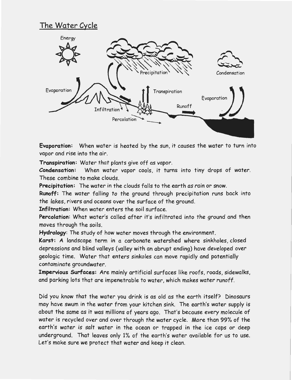## **The Water Cycle**



**Evaporation:** When water is heated by the sun, it causes the water to turn into vapor and rise into the air.

**Transpiration:** Water that plants give off as vapor.

**Condensation:** When water vapor cools, it turns into tiny drops of water. These combine to make clouds.

**Precipitation:** The water in the clouds falls to the earth as rain or snow.

**Runoff:** The water falling to the ground through precipitation runs back into the lakes, rivers and oceans over the surface of the ground.

**Infiltration:** When water enters the soil surface.

Percolation: What water's called after it's infiltrated into the ground and then moves through the soils.

**Hydrology:** The study of how water moves through the environment.

**Karst: A** landscape term in a carbonate watershed where sinkholes, closed depressions and blind valleys (valley with an abrupt ending) have developed over geologic time. Water that enters sinkoles can move rapidly and potentially contaminate groundwater.

**Impervious Surfaces:** Are mainly artificial surfaces like roofs, roads, sidewalks, and parking lots that are impenetrable to water, which makes water runoff.

Did you know that the water you drink is as old as the earth itself? Dinosaurs may have swum in the water from your kitchen sink. The earth's water supply is about the same as it was millions of years ago. That's because every molecule of water is recycled over and over through the water cycle. More than 99% of the earth's water is salt water in the ocean or trapped in the ice caps or deep underground. That leaves only 1% of the earth's water available for us to use. Let's make sure we protect that water and keep it clean.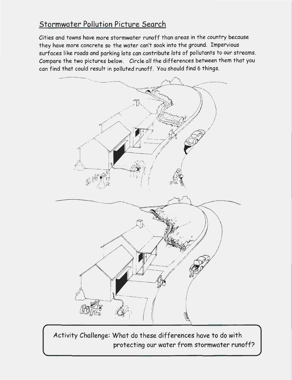# Stormwater Pollution Picture Search

Cities and towns have more stormwater runoff than areas in the country because they have more concrete so the water can't soak into the ground. Impervious surfaces like roads and parking lots can contribute lots of pollutants to our streams. Compare the two pictures below. Circle all the differences between them that you can find that could result in polluted runoff. You should find 6 things.



Activity Challenge: What do these differences have to do with protecting our water from stormwater runoff?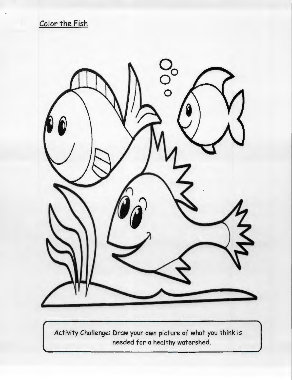Color the Fish

*r* 



Activity Challenge: Draw your own picture of what you think is needed for a healthy watershed.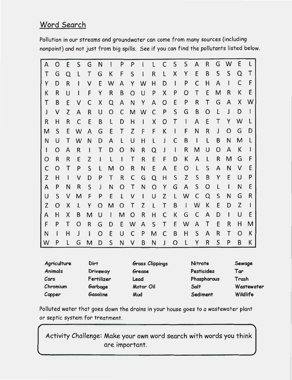## Word Search

...

Pollution in our streams and groundwater can come from many sources (including nonpoint) and not just from big spills. See if you can find the pollutants listed below.

| A | O | E            | S            | G            | N            | Ł            | P              | P | ł            | L | $\mathsf{C}$ | S              | S            | A            | R | G | W | E | L  |
|---|---|--------------|--------------|--------------|--------------|--------------|----------------|---|--------------|---|--------------|----------------|--------------|--------------|---|---|---|---|----|
| Τ | G | O            | L            | $\top$       | G            | Κ            | F              | S |              | R | $\mathsf{L}$ | X              | Y            | E            | B | S | S | Q | Τ  |
| Y | D | R            | I.           | V            | E            | W            | A              | Y | W            | H | D            | $\mathbf{I}$   | P            | C            | H | A | I | C | F  |
| К | R | U            | $\mathbf{I}$ | F            | Y            | R            | B              | O | U            | P | X            | P              | O            | Τ            | E | M | R | К | E  |
| Τ | B | E            | V            | C            | X            | Q            | A              | N | Y            | A | O            | E              | P            | R            | Τ | G | A | Χ | w  |
| J | V | Z            | A            | R            | U            | O            | C              | M | W            | C | P            | S              | G            | B            | O | L | J | D |    |
| R | Н | R            | C            | E            | B            | L            | D              | Η | $\mathbf{I}$ | Χ | O            | $\mathsf T$    | $\mathbf{I}$ | A            | E | Τ | Y | W |    |
| M | S | E            | W            | A            | G            | E            | Τ              | Z | F            | F | K            | $\overline{1}$ | F            | N            | R | J | O | G | D  |
| N | U | Τ            | W            | N            | D            | A            | L              | U | Н            | L | J            | C              | B            | $\mathbf{I}$ | L | B | N | M | I. |
| Ł | O | A            | R            | $\mathbf{I}$ | Τ            | D            | O              | N | R            | Q | J            | $\mathbf{I}$   | R            | Μ            | U | O | A | К |    |
| O | R | $\mathsf{R}$ | E            | Z            | $\mathbf{I}$ | L            | $\overline{1}$ | Τ | R            | E | F            | D              | К            | A            | L | R | M | G | F  |
| C | O | Τ            | P            | S            | L            | M            | O              | R | N            | E | A            | E              | O            | L            | S | A | N | V | E  |
| Z | Н | $\mathbf{I}$ | V            | D            | P            | Τ            | R              | C | G            | Q | H            | S              | Z            | S            | B | Y | E | U | P  |
| A | P | N            | R            | S            | J            | N            | O              | Τ | N            | O | Y            | G              | A            | S            | Ő | L | L | N | E  |
| U | S | V            | M            | F            | P            | E            | L              | V | $\mathsf{l}$ | U | Z            | L              | W            | C            | Q | S | N | G | R  |
| Z | O | Χ            | L            | Y            | O            | M            | O              | Τ | Z            | L | T            | B              | $\vert$      | W            | К | E | D | Z |    |
| A | Η | Χ            | B            | M            | U            | $\mathbf{I}$ | M              | O | R            | Н | $\mathsf{C}$ | K              | G            | C            | A | D | Ł | U | E  |
| F | P | Τ            | O            | R            | G            | D            | E              | W | A            | S | $\mathsf T$  | E              | W            | A            | Τ | E | R | н | М  |
| N | L | Η            | J            | $\mathbf{I}$ | O            | E            | U              | C | P            | M | C            | B              | н            | S            | A | R | Τ | O | K  |
| W | P | L            | G            | M            | D            | S            | N              | V | B            | N | $\mathsf{J}$ | O              | L            | Y            | R | S | P | B | К  |

| Agriculture    | Dirt       | <b>Grass Clippings</b> | Nitrate     | Sewage     |
|----------------|------------|------------------------|-------------|------------|
| <b>Animals</b> | Driveway   | Grease                 | Pesticides  | Tar        |
| Cars           | Fertilizer | Lead                   | Phosphorous | Trash      |
| Chromium       | Garbage    | Motor Oil              | <b>Salt</b> | Wastewater |
| Copper         | Gasoline   | Mud                    | Sediment    | Wildlife   |

Polluted water that goes down the drains in your house goes to a wastewater plant or septic system for treatment. ,

Activity Challenge: Make your own word search with words you think are important.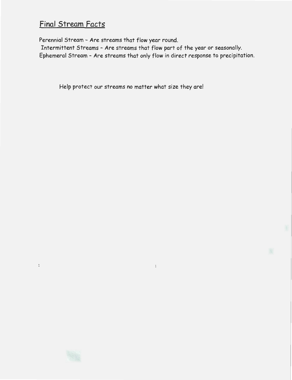## **Final Stream Facts**

 $\colon$ 

Perennial Stream - Are streams that flow year round.

Intermittent Streams - Are streams that flow part of the year or seasonally. Ephemeral Stream - Are streams that only flow in direct response to precipitation.

 $\ddot{\phantom{a}}$ 

Help protect our streams no matter what size they are!